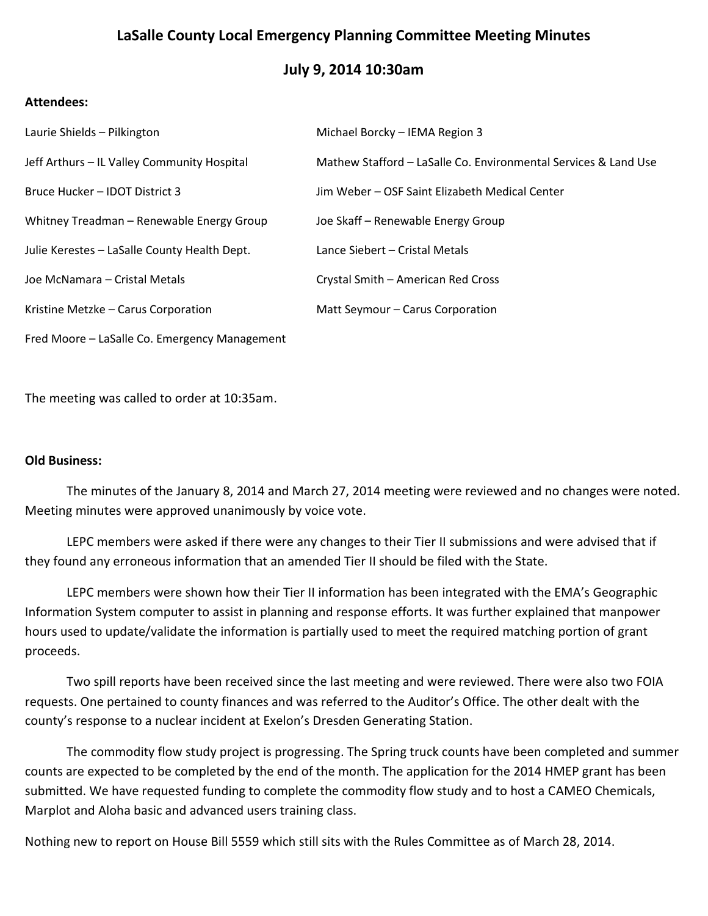# **LaSalle County Local Emergency Planning Committee Meeting Minutes**

# **July 9, 2014 10:30am**

### **Attendees:**

| Laurie Shields - Pilkington                   | Michael Borcky - IEMA Region 3                                  |
|-----------------------------------------------|-----------------------------------------------------------------|
| Jeff Arthurs - IL Valley Community Hospital   | Mathew Stafford - LaSalle Co. Environmental Services & Land Use |
| Bruce Hucker - IDOT District 3                | Jim Weber - OSF Saint Elizabeth Medical Center                  |
| Whitney Treadman - Renewable Energy Group     | Joe Skaff - Renewable Energy Group                              |
| Julie Kerestes - LaSalle County Health Dept.  | Lance Siebert – Cristal Metals                                  |
| Joe McNamara – Cristal Metals                 | Crystal Smith - American Red Cross                              |
| Kristine Metzke - Carus Corporation           | Matt Seymour - Carus Corporation                                |
| Fred Moore – LaSalle Co. Emergency Management |                                                                 |

The meeting was called to order at 10:35am.

#### **Old Business:**

The minutes of the January 8, 2014 and March 27, 2014 meeting were reviewed and no changes were noted. Meeting minutes were approved unanimously by voice vote.

LEPC members were asked if there were any changes to their Tier II submissions and were advised that if they found any erroneous information that an amended Tier II should be filed with the State.

LEPC members were shown how their Tier II information has been integrated with the EMA's Geographic Information System computer to assist in planning and response efforts. It was further explained that manpower hours used to update/validate the information is partially used to meet the required matching portion of grant proceeds.

Two spill reports have been received since the last meeting and were reviewed. There were also two FOIA requests. One pertained to county finances and was referred to the Auditor's Office. The other dealt with the county's response to a nuclear incident at Exelon's Dresden Generating Station.

The commodity flow study project is progressing. The Spring truck counts have been completed and summer counts are expected to be completed by the end of the month. The application for the 2014 HMEP grant has been submitted. We have requested funding to complete the commodity flow study and to host a CAMEO Chemicals, Marplot and Aloha basic and advanced users training class.

Nothing new to report on House Bill 5559 which still sits with the Rules Committee as of March 28, 2014.